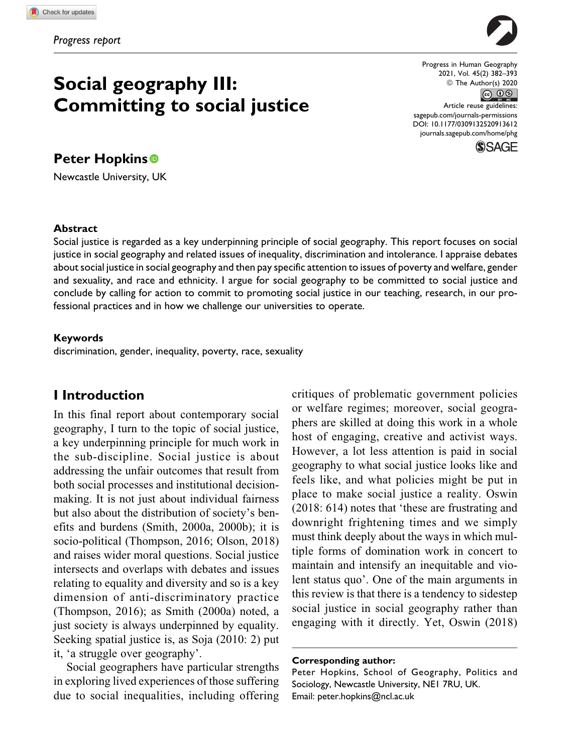# **Social geography III: Committing to social justice**

## **Peter Hopkins**

Newcastle University, UK

Progress in Human Geography 2021, Vol. 45(2) 382–393  $\circledcirc$  The Author(s) 2020<br> $\circledcirc$ 

Article reuse guidelines: [sagepub.com/journals-permissions](https://sagepub.com/journals-permissions) [DOI: 10.1177/0309132520913612](https://doi.org/10.1177/0309132520913612) [journals.sagepub.com/home/phg](http://journals.sagepub.com/home/phg)



#### **Abstract**

Social justice is regarded as a key underpinning principle of social geography. This report focuses on social justice in social geography and related issues of inequality, discrimination and intolerance. I appraise debates about social justice in social geography and then pay specific attention to issues of poverty and welfare, gender and sexuality, and race and ethnicity. I argue for social geography to be committed to social justice and conclude by calling for action to commit to promoting social justice in our teaching, research, in our professional practices and in how we challenge our universities to operate.

#### **Keywords**

discrimination, gender, inequality, poverty, race, sexuality

## **I Introduction**

In this final report about contemporary social geography, I turn to the topic of social justice, a key underpinning principle for much work in the sub-discipline. Social justice is about addressing the unfair outcomes that result from both social processes and institutional decisionmaking. It is not just about individual fairness but also about the distribution of society's benefits and burdens (Smith, 2000a, 2000b); it is socio-political (Thompson, 2016; Olson, 2018) and raises wider moral questions. Social justice intersects and overlaps with debates and issues relating to equality and diversity and so is a key dimension of anti-discriminatory practice (Thompson, 2016); as Smith (2000a) noted, a just society is always underpinned by equality. Seeking spatial justice is, as Soja (2010: 2) put it, 'a struggle over geography'.

Social geographers have particular strengths in exploring lived experiences of those suffering due to social inequalities, including offering critiques of problematic government policies or welfare regimes; moreover, social geographers are skilled at doing this work in a whole host of engaging, creative and activist ways. However, a lot less attention is paid in social geography to what social justice looks like and feels like, and what policies might be put in place to make social justice a reality. Oswin (2018: 614) notes that 'these are frustrating and downright frightening times and we simply must think deeply about the ways in which multiple forms of domination work in concert to maintain and intensify an inequitable and violent status quo'. One of the main arguments in this review is that there is a tendency to sidestep social justice in social geography rather than engaging with it directly. Yet, Oswin (2018)

#### **Corresponding author:**

Peter Hopkins, School of Geography, Politics and Sociology, Newcastle University, NE1 7RU, UK. Email: [peter.hopkins@ncl.ac.uk](mailto:peter.hopkins@ncl.ac.uk)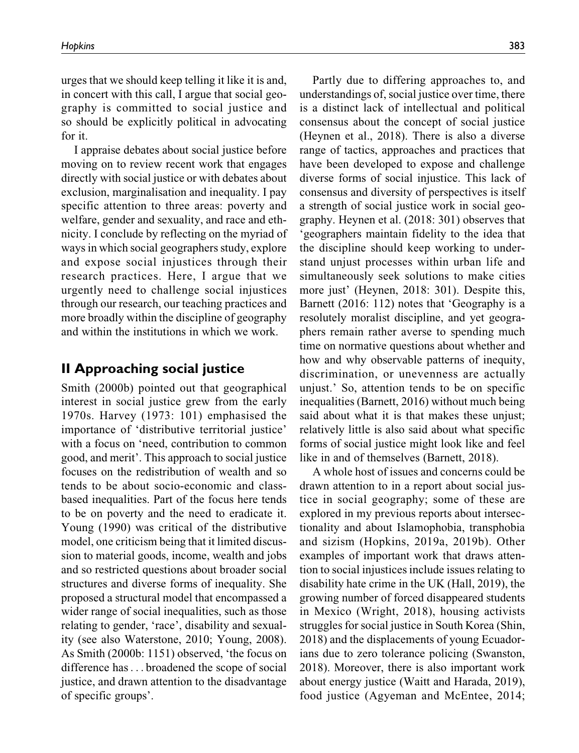urges that we should keep telling it like it is and, in concert with this call, I argue that social geography is committed to social justice and so should be explicitly political in advocating for it.

I appraise debates about social justice before moving on to review recent work that engages directly with social justice or with debates about exclusion, marginalisation and inequality. I pay specific attention to three areas: poverty and welfare, gender and sexuality, and race and ethnicity. I conclude by reflecting on the myriad of ways in which social geographers study, explore and expose social injustices through their research practices. Here, I argue that we urgently need to challenge social injustices through our research, our teaching practices and more broadly within the discipline of geography and within the institutions in which we work.

## **II Approaching social justice**

Smith (2000b) pointed out that geographical interest in social justice grew from the early 1970s. Harvey (1973: 101) emphasised the importance of 'distributive territorial justice' with a focus on 'need, contribution to common good, and merit'. This approach to social justice focuses on the redistribution of wealth and so tends to be about socio-economic and classbased inequalities. Part of the focus here tends to be on poverty and the need to eradicate it. Young (1990) was critical of the distributive model, one criticism being that it limited discussion to material goods, income, wealth and jobs and so restricted questions about broader social structures and diverse forms of inequality. She proposed a structural model that encompassed a wider range of social inequalities, such as those relating to gender, 'race', disability and sexuality (see also Waterstone, 2010; Young, 2008). As Smith (2000b: 1151) observed, 'the focus on difference has... broadened the scope of social justice, and drawn attention to the disadvantage of specific groups'.

Partly due to differing approaches to, and understandings of, social justice over time, there is a distinct lack of intellectual and political consensus about the concept of social justice (Heynen et al., 2018). There is also a diverse range of tactics, approaches and practices that have been developed to expose and challenge diverse forms of social injustice. This lack of consensus and diversity of perspectives is itself a strength of social justice work in social geography. Heynen et al. (2018: 301) observes that 'geographers maintain fidelity to the idea that the discipline should keep working to understand unjust processes within urban life and simultaneously seek solutions to make cities more just' (Heynen, 2018: 301). Despite this, Barnett (2016: 112) notes that 'Geography is a resolutely moralist discipline, and yet geographers remain rather averse to spending much time on normative questions about whether and how and why observable patterns of inequity, discrimination, or unevenness are actually unjust.' So, attention tends to be on specific inequalities (Barnett, 2016) without much being said about what it is that makes these unjust; relatively little is also said about what specific forms of social justice might look like and feel like in and of themselves (Barnett, 2018).

A whole host of issues and concerns could be drawn attention to in a report about social justice in social geography; some of these are explored in my previous reports about intersectionality and about Islamophobia, transphobia and sizism (Hopkins, 2019a, 2019b). Other examples of important work that draws attention to social injustices include issues relating to disability hate crime in the UK (Hall, 2019), the growing number of forced disappeared students in Mexico (Wright, 2018), housing activists struggles for social justice in South Korea (Shin, 2018) and the displacements of young Ecuadorians due to zero tolerance policing (Swanston, 2018). Moreover, there is also important work about energy justice (Waitt and Harada, 2019), food justice (Agyeman and McEntee, 2014;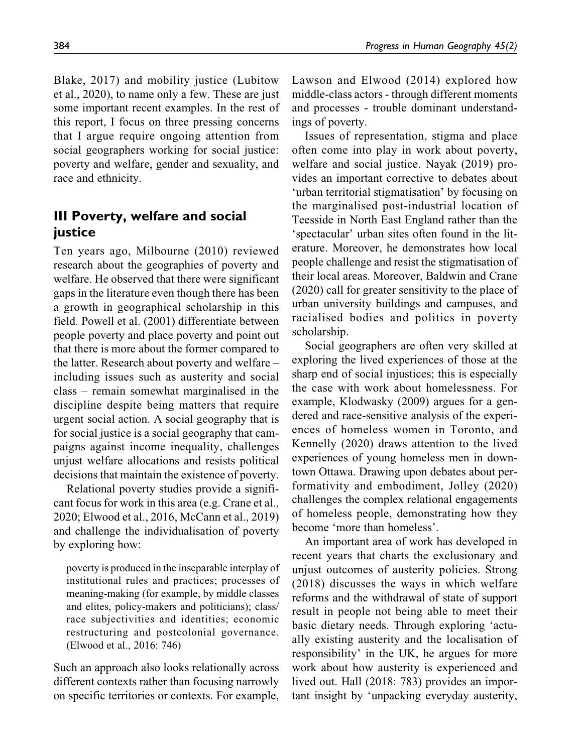Blake, 2017) and mobility justice (Lubitow et al., 2020), to name only a few. These are just some important recent examples. In the rest of this report, I focus on three pressing concerns that I argue require ongoing attention from social geographers working for social justice: poverty and welfare, gender and sexuality, and race and ethnicity.

## **III Poverty, welfare and social justice**

Ten years ago, Milbourne (2010) reviewed research about the geographies of poverty and welfare. He observed that there were significant gaps in the literature even though there has been a growth in geographical scholarship in this field. Powell et al. (2001) differentiate between people poverty and place poverty and point out that there is more about the former compared to the latter. Research about poverty and welfare – including issues such as austerity and social class – remain somewhat marginalised in the discipline despite being matters that require urgent social action. A social geography that is for social justice is a social geography that campaigns against income inequality, challenges unjust welfare allocations and resists political decisions that maintain the existence of poverty.

Relational poverty studies provide a significant focus for work in this area (e.g. Crane et al., 2020; Elwood et al., 2016, McCann et al., 2019) and challenge the individualisation of poverty by exploring how:

poverty is produced in the inseparable interplay of institutional rules and practices; processes of meaning-making (for example, by middle classes and elites, policy-makers and politicians); class/ race subjectivities and identities; economic restructuring and postcolonial governance. (Elwood et al., 2016: 746)

Such an approach also looks relationally across different contexts rather than focusing narrowly on specific territories or contexts. For example, Lawson and Elwood (2014) explored how middle-class actors - through different moments and processes - trouble dominant understandings of poverty.

Issues of representation, stigma and place often come into play in work about poverty, welfare and social justice. Nayak (2019) provides an important corrective to debates about 'urban territorial stigmatisation' by focusing on the marginalised post-industrial location of Teesside in North East England rather than the 'spectacular' urban sites often found in the literature. Moreover, he demonstrates how local people challenge and resist the stigmatisation of their local areas. Moreover, Baldwin and Crane (2020) call for greater sensitivity to the place of urban university buildings and campuses, and racialised bodies and politics in poverty scholarship.

Social geographers are often very skilled at exploring the lived experiences of those at the sharp end of social injustices; this is especially the case with work about homelessness. For example, Klodwasky (2009) argues for a gendered and race-sensitive analysis of the experiences of homeless women in Toronto, and Kennelly (2020) draws attention to the lived experiences of young homeless men in downtown Ottawa. Drawing upon debates about performativity and embodiment, Jolley (2020) challenges the complex relational engagements of homeless people, demonstrating how they become 'more than homeless'.

An important area of work has developed in recent years that charts the exclusionary and unjust outcomes of austerity policies. Strong (2018) discusses the ways in which welfare reforms and the withdrawal of state of support result in people not being able to meet their basic dietary needs. Through exploring 'actually existing austerity and the localisation of responsibility' in the UK, he argues for more work about how austerity is experienced and lived out. Hall (2018: 783) provides an important insight by 'unpacking everyday austerity,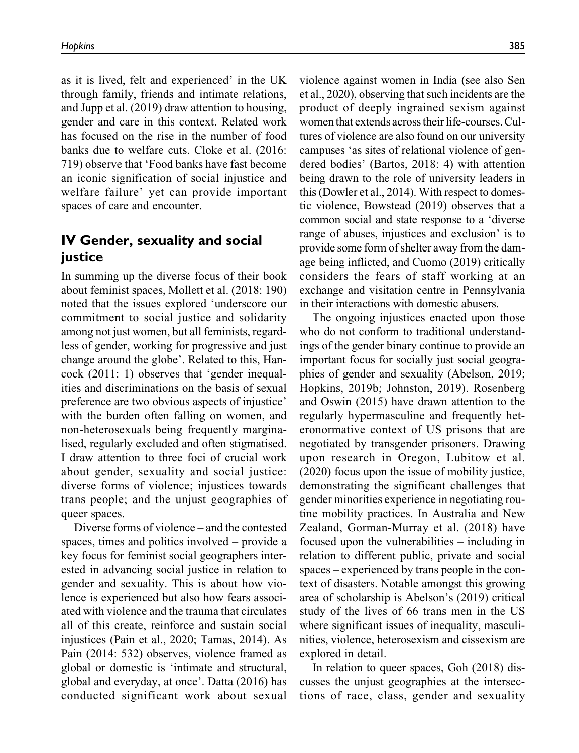as it is lived, felt and experienced' in the UK through family, friends and intimate relations, and Jupp et al. (2019) draw attention to housing, gender and care in this context. Related work has focused on the rise in the number of food banks due to welfare cuts. Cloke et al. (2016: 719) observe that 'Food banks have fast become an iconic signification of social injustice and welfare failure' yet can provide important spaces of care and encounter.

## **IV Gender, sexuality and social justice**

In summing up the diverse focus of their book about feminist spaces, Mollett et al. (2018: 190) noted that the issues explored 'underscore our commitment to social justice and solidarity among not just women, but all feminists, regardless of gender, working for progressive and just change around the globe'. Related to this, Hancock (2011: 1) observes that 'gender inequalities and discriminations on the basis of sexual preference are two obvious aspects of injustice' with the burden often falling on women, and non-heterosexuals being frequently marginalised, regularly excluded and often stigmatised. I draw attention to three foci of crucial work about gender, sexuality and social justice: diverse forms of violence; injustices towards trans people; and the unjust geographies of queer spaces.

Diverse forms of violence – and the contested spaces, times and politics involved – provide a key focus for feminist social geographers interested in advancing social justice in relation to gender and sexuality. This is about how violence is experienced but also how fears associated with violence and the trauma that circulates all of this create, reinforce and sustain social injustices (Pain et al., 2020; Tamas, 2014). As Pain (2014: 532) observes, violence framed as global or domestic is 'intimate and structural, global and everyday, at once'. Datta (2016) has conducted significant work about sexual violence against women in India (see also Sen et al., 2020), observing that such incidents are the product of deeply ingrained sexism against women that extends across their life-courses.Cultures of violence are also found on our university campuses 'as sites of relational violence of gendered bodies' (Bartos, 2018: 4) with attention being drawn to the role of university leaders in this (Dowler et al., 2014). With respect to domestic violence, Bowstead (2019) observes that a common social and state response to a 'diverse range of abuses, injustices and exclusion' is to provide some form of shelter away from the damage being inflicted, and Cuomo (2019) critically considers the fears of staff working at an exchange and visitation centre in Pennsylvania in their interactions with domestic abusers.

The ongoing injustices enacted upon those who do not conform to traditional understandings of the gender binary continue to provide an important focus for socially just social geographies of gender and sexuality (Abelson, 2019; Hopkins, 2019b; Johnston, 2019). Rosenberg and Oswin (2015) have drawn attention to the regularly hypermasculine and frequently heteronormative context of US prisons that are negotiated by transgender prisoners. Drawing upon research in Oregon, Lubitow et al. (2020) focus upon the issue of mobility justice, demonstrating the significant challenges that gender minorities experience in negotiating routine mobility practices. In Australia and New Zealand, Gorman-Murray et al. (2018) have focused upon the vulnerabilities – including in relation to different public, private and social spaces – experienced by trans people in the context of disasters. Notable amongst this growing area of scholarship is Abelson's (2019) critical study of the lives of 66 trans men in the US where significant issues of inequality, masculinities, violence, heterosexism and cissexism are explored in detail.

In relation to queer spaces, Goh (2018) discusses the unjust geographies at the intersections of race, class, gender and sexuality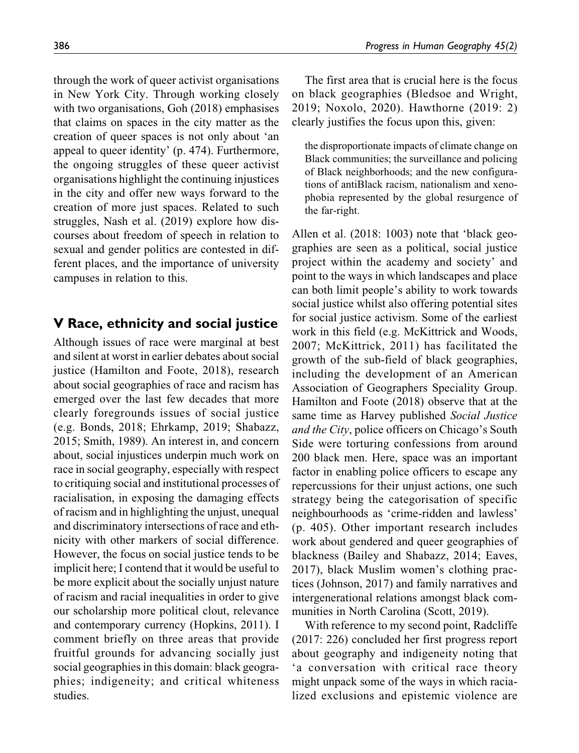through the work of queer activist organisations in New York City. Through working closely with two organisations, Goh (2018) emphasises that claims on spaces in the city matter as the creation of queer spaces is not only about 'an appeal to queer identity' (p. 474). Furthermore, the ongoing struggles of these queer activist organisations highlight the continuing injustices in the city and offer new ways forward to the creation of more just spaces. Related to such struggles, Nash et al. (2019) explore how discourses about freedom of speech in relation to sexual and gender politics are contested in different places, and the importance of university campuses in relation to this.

## **V Race, ethnicity and social justice**

Although issues of race were marginal at best and silent at worst in earlier debates about social justice (Hamilton and Foote, 2018), research about social geographies of race and racism has emerged over the last few decades that more clearly foregrounds issues of social justice (e.g. Bonds, 2018; Ehrkamp, 2019; Shabazz, 2015; Smith, 1989). An interest in, and concern about, social injustices underpin much work on race in social geography, especially with respect to critiquing social and institutional processes of racialisation, in exposing the damaging effects of racism and in highlighting the unjust, unequal and discriminatory intersections of race and ethnicity with other markers of social difference. However, the focus on social justice tends to be implicit here; I contend that it would be useful to be more explicit about the socially unjust nature of racism and racial inequalities in order to give our scholarship more political clout, relevance and contemporary currency (Hopkins, 2011). I comment briefly on three areas that provide fruitful grounds for advancing socially just social geographies in this domain: black geographies; indigeneity; and critical whiteness studies.

The first area that is crucial here is the focus on black geographies (Bledsoe and Wright, 2019; Noxolo, 2020). Hawthorne (2019: 2) clearly justifies the focus upon this, given:

the disproportionate impacts of climate change on Black communities; the surveillance and policing of Black neighborhoods; and the new configurations of antiBlack racism, nationalism and xenophobia represented by the global resurgence of the far-right.

Allen et al. (2018: 1003) note that 'black geographies are seen as a political, social justice project within the academy and society' and point to the ways in which landscapes and place can both limit people's ability to work towards social justice whilst also offering potential sites for social justice activism. Some of the earliest work in this field (e.g. McKittrick and Woods, 2007; McKittrick, 2011) has facilitated the growth of the sub-field of black geographies, including the development of an American Association of Geographers Speciality Group. Hamilton and Foote (2018) observe that at the same time as Harvey published Social Justice and the City, police officers on Chicago's South Side were torturing confessions from around 200 black men. Here, space was an important factor in enabling police officers to escape any repercussions for their unjust actions, one such strategy being the categorisation of specific neighbourhoods as 'crime-ridden and lawless' (p. 405). Other important research includes work about gendered and queer geographies of blackness (Bailey and Shabazz, 2014; Eaves, 2017), black Muslim women's clothing practices (Johnson, 2017) and family narratives and intergenerational relations amongst black communities in North Carolina (Scott, 2019).

With reference to my second point, Radcliffe (2017: 226) concluded her first progress report about geography and indigeneity noting that 'a conversation with critical race theory might unpack some of the ways in which racialized exclusions and epistemic violence are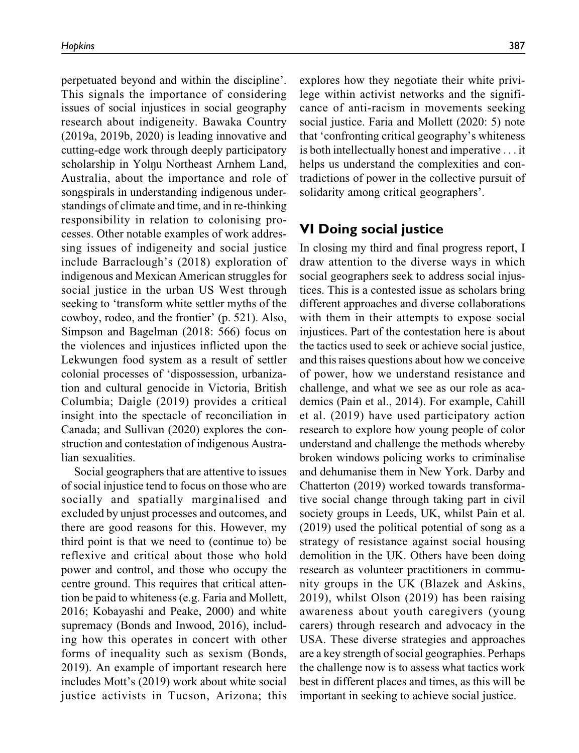perpetuated beyond and within the discipline'. This signals the importance of considering issues of social injustices in social geography research about indigeneity. Bawaka Country (2019a, 2019b, 2020) is leading innovative and cutting-edge work through deeply participatory scholarship in Yolnu Northeast Arnhem Land, Australia, about the importance and role of songspirals in understanding indigenous understandings of climate and time, and in re-thinking responsibility in relation to colonising processes. Other notable examples of work addressing issues of indigeneity and social justice include Barraclough's (2018) exploration of indigenous and Mexican American struggles for social justice in the urban US West through seeking to 'transform white settler myths of the cowboy, rodeo, and the frontier' (p. 521). Also, Simpson and Bagelman (2018: 566) focus on the violences and injustices inflicted upon the Lekwungen food system as a result of settler colonial processes of 'dispossession, urbanization and cultural genocide in Victoria, British Columbia; Daigle (2019) provides a critical insight into the spectacle of reconciliation in Canada; and Sullivan (2020) explores the construction and contestation of indigenous Australian sexualities.

Social geographers that are attentive to issues of social injustice tend to focus on those who are socially and spatially marginalised and excluded by unjust processes and outcomes, and there are good reasons for this. However, my third point is that we need to (continue to) be reflexive and critical about those who hold power and control, and those who occupy the centre ground. This requires that critical attention be paid to whiteness (e.g. Faria and Mollett, 2016; Kobayashi and Peake, 2000) and white supremacy (Bonds and Inwood, 2016), including how this operates in concert with other forms of inequality such as sexism (Bonds, 2019). An example of important research here includes Mott's (2019) work about white social justice activists in Tucson, Arizona; this explores how they negotiate their white privilege within activist networks and the significance of anti-racism in movements seeking social justice. Faria and Mollett (2020: 5) note that 'confronting critical geography's whiteness is both intellectually honest and imperative ... it helps us understand the complexities and contradictions of power in the collective pursuit of solidarity among critical geographers'.

## **VI Doing social justice**

In closing my third and final progress report, I draw attention to the diverse ways in which social geographers seek to address social injustices. This is a contested issue as scholars bring different approaches and diverse collaborations with them in their attempts to expose social injustices. Part of the contestation here is about the tactics used to seek or achieve social justice, and this raises questions about how we conceive of power, how we understand resistance and challenge, and what we see as our role as academics (Pain et al., 2014). For example, Cahill et al. (2019) have used participatory action research to explore how young people of color understand and challenge the methods whereby broken windows policing works to criminalise and dehumanise them in New York. Darby and Chatterton (2019) worked towards transformative social change through taking part in civil society groups in Leeds, UK, whilst Pain et al. (2019) used the political potential of song as a strategy of resistance against social housing demolition in the UK. Others have been doing research as volunteer practitioners in community groups in the UK (Blazek and Askins, 2019), whilst Olson (2019) has been raising awareness about youth caregivers (young carers) through research and advocacy in the USA. These diverse strategies and approaches are a key strength of social geographies. Perhaps the challenge now is to assess what tactics work best in different places and times, as this will be important in seeking to achieve social justice.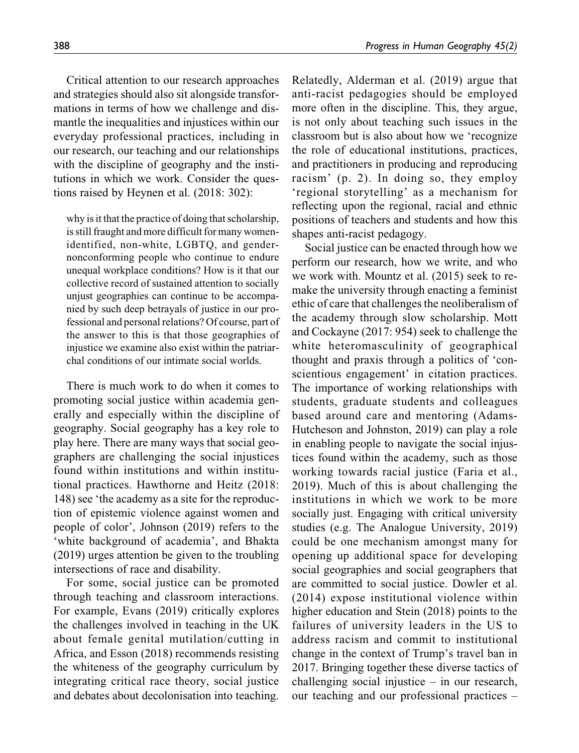Critical attention to our research approaches and strategies should also sit alongside transformations in terms of how we challenge and dismantle the inequalities and injustices within our everyday professional practices, including in our research, our teaching and our relationships with the discipline of geography and the institutions in which we work. Consider the questions raised by Heynen et al. (2018: 302):

why is it that the practice of doing that scholarship, is still fraught and more difficult for many womenidentified, non-white, LGBTQ, and gendernonconforming people who continue to endure unequal workplace conditions? How is it that our collective record of sustained attention to socially unjust geographies can continue to be accompanied by such deep betrayals of justice in our professional and personal relations? Of course, part of the answer to this is that those geographies of injustice we examine also exist within the patriarchal conditions of our intimate social worlds.

There is much work to do when it comes to promoting social justice within academia generally and especially within the discipline of geography. Social geography has a key role to play here. There are many ways that social geographers are challenging the social injustices found within institutions and within institutional practices. Hawthorne and Heitz (2018: 148) see 'the academy as a site for the reproduction of epistemic violence against women and people of color', Johnson (2019) refers to the 'white background of academia', and Bhakta (2019) urges attention be given to the troubling intersections of race and disability.

For some, social justice can be promoted through teaching and classroom interactions. For example, Evans (2019) critically explores the challenges involved in teaching in the UK about female genital mutilation/cutting in Africa, and Esson (2018) recommends resisting the whiteness of the geography curriculum by integrating critical race theory, social justice and debates about decolonisation into teaching.

Relatedly, Alderman et al. (2019) argue that anti-racist pedagogies should be employed more often in the discipline. This, they argue, is not only about teaching such issues in the classroom but is also about how we 'recognize the role of educational institutions, practices, and practitioners in producing and reproducing racism' (p. 2). In doing so, they employ 'regional storytelling' as a mechanism for reflecting upon the regional, racial and ethnic positions of teachers and students and how this shapes anti-racist pedagogy.

Social justice can be enacted through how we perform our research, how we write, and who we work with. Mountz et al. (2015) seek to remake the university through enacting a feminist ethic of care that challenges the neoliberalism of the academy through slow scholarship. Mott and Cockayne (2017: 954) seek to challenge the white heteromasculinity of geographical thought and praxis through a politics of 'conscientious engagement' in citation practices. The importance of working relationships with students, graduate students and colleagues based around care and mentoring (Adams-Hutcheson and Johnston, 2019) can play a role in enabling people to navigate the social injustices found within the academy, such as those working towards racial justice (Faria et al., 2019). Much of this is about challenging the institutions in which we work to be more socially just. Engaging with critical university studies (e.g. The Analogue University, 2019) could be one mechanism amongst many for opening up additional space for developing social geographies and social geographers that are committed to social justice. Dowler et al. (2014) expose institutional violence within higher education and Stein (2018) points to the failures of university leaders in the US to address racism and commit to institutional change in the context of Trump's travel ban in 2017. Bringing together these diverse tactics of challenging social injustice – in our research, our teaching and our professional practices –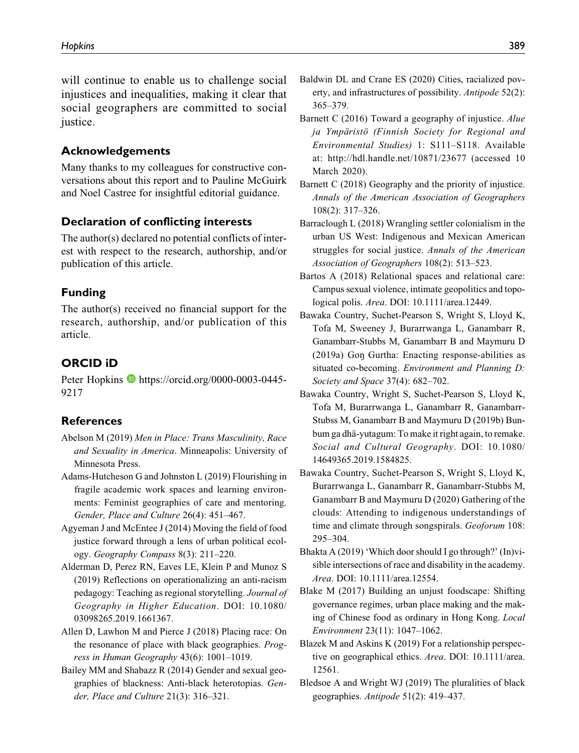will continue to enable us to challenge social injustices and inequalities, making it clear that social geographers are committed to social justice.

## **Acknowledgements**

Many thanks to my colleagues for constructive conversations about this report and to Pauline McGuirk and Noel Castree for insightful editorial guidance.

## **Declaration of conflicting interests**

The author(s) declared no potential conflicts of interest with respect to the research, authorship, and/or publication of this article.

#### **Funding**

The author(s) received no financial support for the research, authorship, and/or publication of this article.

## **ORCID iD**

Peter Hopkins [https://orcid.org/0000-0003-0445-](https://orcid.org/0000-0003-0445-9217) [9217](https://orcid.org/0000-0003-0445-9217)

#### **References**

- Abelson M (2019) Men in Place: Trans Masculinity, Race and Sexuality in America. Minneapolis: University of Minnesota Press.
- Adams-Hutcheson G and Johnston L (2019) Flourishing in fragile academic work spaces and learning environments: Feminist geographies of care and mentoring. Gender, Place and Culture 26(4): 451–467.
- Agyeman J and McEntee J (2014) Moving the field of food justice forward through a lens of urban political ecology. Geography Compass 8(3): 211–220.
- Alderman D, Perez RN, Eaves LE, Klein P and Munoz S (2019) Reflections on operationalizing an anti-racism pedagogy: Teaching as regional storytelling. Journal of Geography in Higher Education. DOI: 10.1080/ 03098265.2019.1661367.
- Allen D, Lawhon M and Pierce J (2018) Placing race: On the resonance of place with black geographies. Progress in Human Geography 43(6): 1001–1019.
- Bailey MM and Shabazz R (2014) Gender and sexual geographies of blackness: Anti-black heterotopias. Gender, Place and Culture 21(3): 316–321.
- Baldwin DL and Crane ES (2020) Cities, racialized poverty, and infrastructures of possibility. Antipode 52(2): 365–379.
- Barnett C (2016) Toward a geography of injustice. Alue ja Ympäristö (Finnish Society for Regional and Environmental Studies) 1: S111–S118. Available at:<http://hdl.handle.net/10871/23677> (accessed 10 March 2020).
- Barnett C (2018) Geography and the priority of injustice. Annals of the American Association of Geographers 108(2): 317–326.
- Barraclough L (2018) Wrangling settler colonialism in the urban US West: Indigenous and Mexican American struggles for social justice. Annals of the American Association of Geographers 108(2): 513–523.
- Bartos A (2018) Relational spaces and relational care: Campus sexual violence, intimate geopolitics and topological polis. Area. DOI: 10.1111/area.12449.
- Bawaka Country, Suchet-Pearson S, Wright S, Lloyd K, Tofa M, Sweeney J, Burarrwanga L, Ganambarr R, Ganambarr-Stubbs M, Ganambarr B and Maymuru D (2019a) Gon Gurtha: Enacting response-abilities as situated co-becoming. Environment and Planning D: Society and Space 37(4): 682–702.
- Bawaka Country, Wright S, Suchet-Pearson S, Lloyd K, Tofa M, Burarrwanga L, Ganambarr R, Ganambarr-Stubss M, Ganambarr B and Maymuru D (2019b) Bunbum ga dha¨-yutagum: To make it right again, to remake. Social and Cultural Geography. DOI: 10.1080/ 14649365.2019.1584825.
- Bawaka Country, Suchet-Pearson S, Wright S, Lloyd K, Burarrwanga L, Ganambarr R, Ganambarr-Stubbs M, Ganambarr B and Maymuru D (2020) Gathering of the clouds: Attending to indigenous understandings of time and climate through songspirals. Geoforum 108: 295–304.
- Bhakta A (2019) 'Which door should I go through?' (In)visible intersections of race and disability in the academy. Area. DOI: 10.1111/area.12554.
- Blake M (2017) Building an unjust foodscape: Shifting governance regimes, urban place making and the making of Chinese food as ordinary in Hong Kong. Local Environment 23(11): 1047–1062.
- Blazek M and Askins K (2019) For a relationship perspective on geographical ethics. Area. DOI: 10.1111/area. 12561.
- Bledsoe A and Wright WJ (2019) The pluralities of black geographies. Antipode 51(2): 419–437.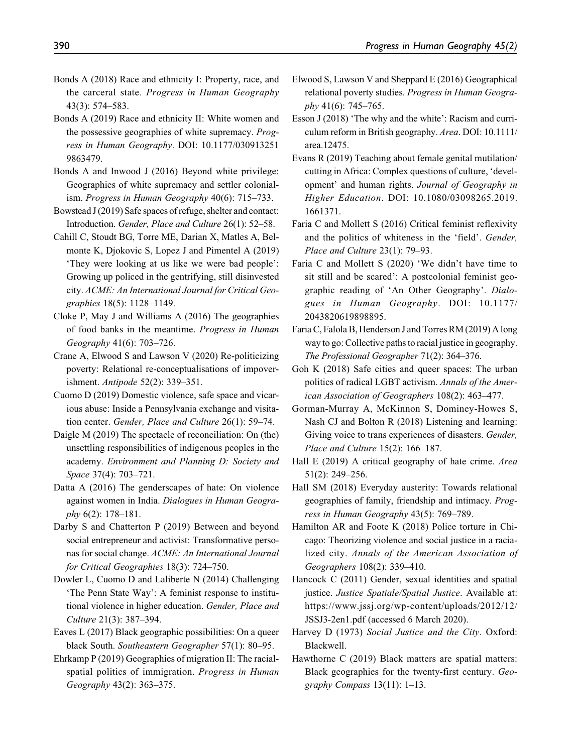- Bonds A (2018) Race and ethnicity I: Property, race, and the carceral state. Progress in Human Geography 43(3): 574–583.
- Bonds A (2019) Race and ethnicity II: White women and the possessive geographies of white supremacy. Progress in Human Geography. DOI: 10.1177/030913251 9863479.
- Bonds A and Inwood J (2016) Beyond white privilege: Geographies of white supremacy and settler colonialism. Progress in Human Geography 40(6): 715–733.
- Bowstead J (2019) Safe spaces of refuge, shelter and contact: Introduction. Gender, Place and Culture 26(1): 52–58.
- Cahill C, Stoudt BG, Torre ME, Darian X, Matles A, Belmonte K, Djokovic S, Lopez J and Pimentel A (2019) 'They were looking at us like we were bad people': Growing up policed in the gentrifying, still disinvested city. ACME: An International Journal for Critical Geographies 18(5): 1128–1149.
- Cloke P, May J and Williams A (2016) The geographies of food banks in the meantime. Progress in Human Geography 41(6): 703–726.
- Crane A, Elwood S and Lawson V (2020) Re-politicizing poverty: Relational re-conceptualisations of impoverishment. Antipode 52(2): 339–351.
- Cuomo D (2019) Domestic violence, safe space and vicarious abuse: Inside a Pennsylvania exchange and visitation center. Gender, Place and Culture 26(1): 59–74.
- Daigle M (2019) The spectacle of reconciliation: On (the) unsettling responsibilities of indigenous peoples in the academy. Environment and Planning D: Society and Space 37(4): 703–721.
- Datta A (2016) The genderscapes of hate: On violence against women in India. Dialogues in Human Geography 6(2): 178–181.
- Darby S and Chatterton P (2019) Between and beyond social entrepreneur and activist: Transformative personas for social change. ACME: An International Journal for Critical Geographies 18(3): 724–750.
- Dowler L, Cuomo D and Laliberte N (2014) Challenging 'The Penn State Way': A feminist response to institutional violence in higher education. Gender, Place and Culture 21(3): 387–394.
- Eaves L (2017) Black geographic possibilities: On a queer black South. Southeastern Geographer 57(1): 80–95.
- Ehrkamp P (2019) Geographies of migration II: The racialspatial politics of immigration. Progress in Human Geography 43(2): 363–375.
- Elwood S, Lawson V and Sheppard E (2016) Geographical relational poverty studies. Progress in Human Geogra $phy 41(6): 745–765.$
- Esson J (2018) 'The why and the white': Racism and curriculum reform in British geography. Area. DOI: 10.1111/ area.12475.
- Evans R (2019) Teaching about female genital mutilation/ cutting in Africa: Complex questions of culture, 'development' and human rights. Journal of Geography in Higher Education. DOI: 10.1080/03098265.2019. 1661371.
- Faria C and Mollett S (2016) Critical feminist reflexivity and the politics of whiteness in the 'field'. Gender, Place and Culture 23(1): 79–93.
- Faria C and Mollett S (2020) 'We didn't have time to sit still and be scared': A postcolonial feminist geographic reading of 'An Other Geography'. Dialogues in Human Geography. DOI: 10.1177/ 2043820619898895.
- Faria C, Falola B, Henderson J and Torres RM (2019) A long way to go: Collective paths to racial justice in geography. The Professional Geographer 71(2): 364–376.
- Goh K (2018) Safe cities and queer spaces: The urban politics of radical LGBT activism. Annals of the American Association of Geographers 108(2): 463–477.
- Gorman-Murray A, McKinnon S, Dominey-Howes S, Nash CJ and Bolton R (2018) Listening and learning: Giving voice to trans experiences of disasters. Gender, Place and Culture 15(2): 166–187.
- Hall E (2019) A critical geography of hate crime. *Area* 51(2): 249–256.
- Hall SM (2018) Everyday austerity: Towards relational geographies of family, friendship and intimacy. Progress in Human Geography 43(5): 769–789.
- Hamilton AR and Foote K (2018) Police torture in Chicago: Theorizing violence and social justice in a racialized city. Annals of the American Association of Geographers 108(2): 339–410.
- Hancock C (2011) Gender, sexual identities and spatial justice. Justice Spatiale/Spatial Justice. Available at: [https://www.jssj.org/wp-content/uploads/2012/12/](https://www.jssj.org/wp-content/uploads/2012/12/JSSJ3-2en1.pdf) [JSSJ3-2en1.pdf](https://www.jssj.org/wp-content/uploads/2012/12/JSSJ3-2en1.pdf) (accessed 6 March 2020).
- Harvey D (1973) Social Justice and the City. Oxford: Blackwell.
- Hawthorne C (2019) Black matters are spatial matters: Black geographies for the twenty-first century. Geography Compass 13(11): 1–13.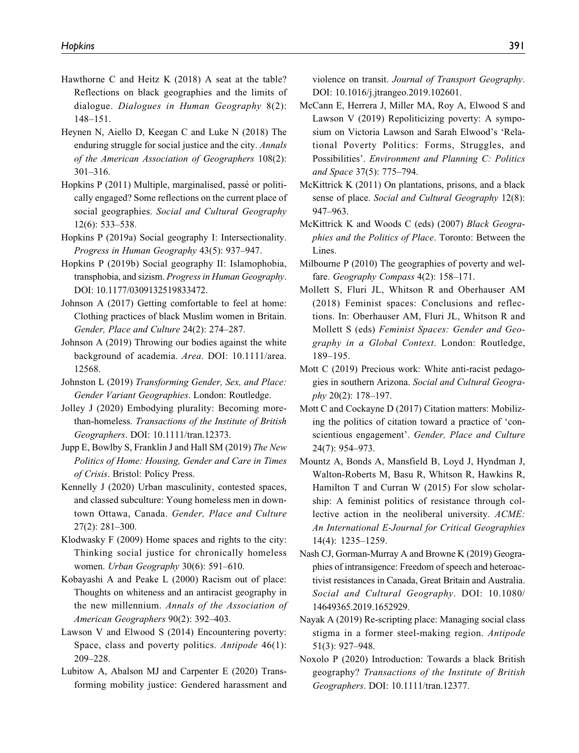- Hawthorne C and Heitz K (2018) A seat at the table? Reflections on black geographies and the limits of dialogue. Dialogues in Human Geography 8(2): 148–151.
- Heynen N, Aiello D, Keegan C and Luke N (2018) The enduring struggle for social justice and the city. Annals of the American Association of Geographers 108(2): 301–316.
- Hopkins P (2011) Multiple, marginalised, passé or politically engaged? Some reflections on the current place of social geographies. Social and Cultural Geography 12(6): 533–538.
- Hopkins P (2019a) Social geography I: Intersectionality. Progress in Human Geography 43(5): 937–947.
- Hopkins P (2019b) Social geography II: Islamophobia, transphobia, and sizism. Progress in Human Geography. DOI: 10.1177/0309132519833472.
- Johnson A (2017) Getting comfortable to feel at home: Clothing practices of black Muslim women in Britain. Gender, Place and Culture 24(2): 274–287.
- Johnson A (2019) Throwing our bodies against the white background of academia. Area. DOI: 10.1111/area. 12568.
- Johnston L (2019) Transforming Gender, Sex, and Place: Gender Variant Geographies. London: Routledge.
- Jolley J (2020) Embodying plurality: Becoming morethan-homeless. Transactions of the Institute of British Geographers. DOI: 10.1111/tran.12373.
- Jupp E, Bowlby S, Franklin J and Hall SM (2019) The New Politics of Home: Housing, Gender and Care in Times of Crisis. Bristol: Policy Press.
- Kennelly J (2020) Urban masculinity, contested spaces, and classed subculture: Young homeless men in downtown Ottawa, Canada. Gender, Place and Culture 27(2): 281–300.
- Klodwasky F (2009) Home spaces and rights to the city: Thinking social justice for chronically homeless women. Urban Geography 30(6): 591–610.
- Kobayashi A and Peake L (2000) Racism out of place: Thoughts on whiteness and an antiracist geography in the new millennium. Annals of the Association of American Geographers 90(2): 392–403.
- Lawson V and Elwood S (2014) Encountering poverty: Space, class and poverty politics. Antipode 46(1): 209–228.
- Lubitow A, Abalson MJ and Carpenter E (2020) Transforming mobility justice: Gendered harassment and

violence on transit. Journal of Transport Geography. DOI: 10.1016/j.jtrangeo.2019.102601.

- McCann E, Herrera J, Miller MA, Roy A, Elwood S and Lawson V (2019) Repoliticizing poverty: A symposium on Victoria Lawson and Sarah Elwood's 'Relational Poverty Politics: Forms, Struggles, and Possibilities'. Environment and Planning C: Politics and Space 37(5): 775–794.
- McKittrick K (2011) On plantations, prisons, and a black sense of place. Social and Cultural Geography 12(8): 947–963.
- McKittrick K and Woods C (eds) (2007) Black Geographies and the Politics of Place. Toronto: Between the Lines.
- Milbourne P (2010) The geographies of poverty and welfare. Geography Compass 4(2): 158–171.
- Mollett S, Fluri JL, Whitson R and Oberhauser AM (2018) Feminist spaces: Conclusions and reflections. In: Oberhauser AM, Fluri JL, Whitson R and Mollett S (eds) Feminist Spaces: Gender and Geography in a Global Context. London: Routledge, 189–195.
- Mott C (2019) Precious work: White anti-racist pedagogies in southern Arizona. Social and Cultural Geography 20(2): 178–197.
- Mott C and Cockayne D (2017) Citation matters: Mobilizing the politics of citation toward a practice of 'conscientious engagement'. Gender, Place and Culture 24(7): 954–973.
- Mountz A, Bonds A, Mansfield B, Loyd J, Hyndman J, Walton-Roberts M, Basu R, Whitson R, Hawkins R, Hamilton T and Curran W (2015) For slow scholarship: A feminist politics of resistance through collective action in the neoliberal university. ACME: An International E-Journal for Critical Geographies 14(4): 1235–1259.
- Nash CJ, Gorman-Murray A and Browne K (2019) Geographies of intransigence: Freedom of speech and heteroactivist resistances in Canada, Great Britain and Australia. Social and Cultural Geography. DOI: 10.1080/ 14649365.2019.1652929.
- Nayak A (2019) Re-scripting place: Managing social class stigma in a former steel-making region. Antipode 51(3): 927–948.
- Noxolo P (2020) Introduction: Towards a black British geography? Transactions of the Institute of British Geographers. DOI: 10.1111/tran.12377.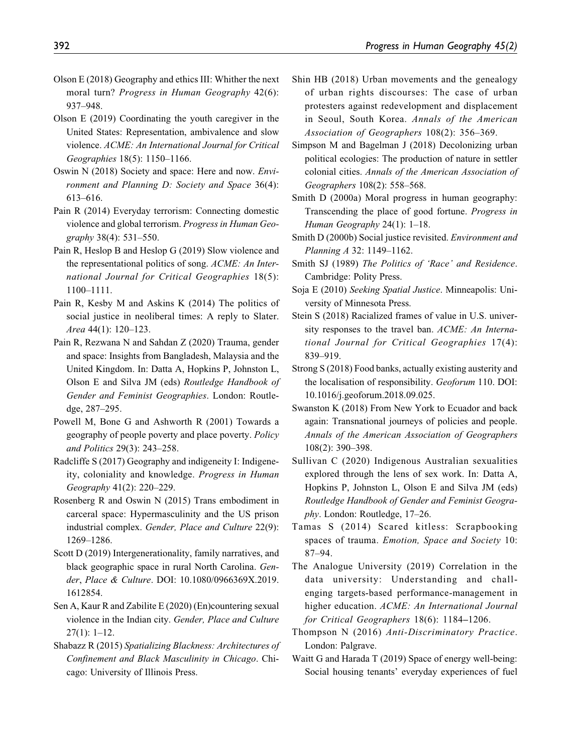- Olson E (2018) Geography and ethics III: Whither the next moral turn? Progress in Human Geography 42(6): 937–948.
- Olson E (2019) Coordinating the youth caregiver in the United States: Representation, ambivalence and slow violence. ACME: An International Journal for Critical Geographies 18(5): 1150–1166.
- Oswin N (2018) Society and space: Here and now. Environment and Planning D: Society and Space 36(4): 613–616.
- Pain R (2014) Everyday terrorism: Connecting domestic violence and global terrorism. Progress in Human Geography 38(4): 531–550.
- Pain R, Heslop B and Heslop G (2019) Slow violence and the representational politics of song. ACME: An International Journal for Critical Geographies 18(5): 1100–1111.
- Pain R, Kesby M and Askins K (2014) The politics of social justice in neoliberal times: A reply to Slater. Area 44(1): 120–123.
- Pain R, Rezwana N and Sahdan Z (2020) Trauma, gender and space: Insights from Bangladesh, Malaysia and the United Kingdom. In: Datta A, Hopkins P, Johnston L, Olson E and Silva JM (eds) Routledge Handbook of Gender and Feminist Geographies. London: Routledge, 287–295.
- Powell M, Bone G and Ashworth R (2001) Towards a geography of people poverty and place poverty. Policy and Politics 29(3): 243–258.
- Radcliffe S (2017) Geography and indigeneity I: Indigeneity, coloniality and knowledge. Progress in Human Geography 41(2): 220–229.
- Rosenberg R and Oswin N (2015) Trans embodiment in carceral space: Hypermasculinity and the US prison industrial complex. Gender, Place and Culture 22(9): 1269–1286.
- Scott D (2019) Intergenerationality, family narratives, and black geographic space in rural North Carolina. Gender, Place & Culture. DOI: 10.1080/0966369X.2019. 1612854.
- Sen A, Kaur R and Zabilite E (2020) (En)countering sexual violence in the Indian city. Gender, Place and Culture 27(1): 1–12.
- Shabazz R (2015) Spatializing Blackness: Architectures of Confinement and Black Masculinity in Chicago. Chicago: University of Illinois Press.
- Shin HB (2018) Urban movements and the genealogy of urban rights discourses: The case of urban protesters against redevelopment and displacement in Seoul, South Korea. Annals of the American Association of Geographers 108(2): 356–369.
- Simpson M and Bagelman J (2018) Decolonizing urban political ecologies: The production of nature in settler colonial cities. Annals of the American Association of Geographers 108(2): 558–568.
- Smith D (2000a) Moral progress in human geography: Transcending the place of good fortune. Progress in Human Geography 24(1): 1–18.
- Smith D (2000b) Social justice revisited. Environment and Planning A 32: 1149–1162.
- Smith SJ (1989) The Politics of 'Race' and Residence. Cambridge: Polity Press.
- Soja E (2010) Seeking Spatial Justice. Minneapolis: University of Minnesota Press.
- Stein S (2018) Racialized frames of value in U.S. university responses to the travel ban. ACME: An International Journal for Critical Geographies 17(4): 839–919.
- Strong S (2018) Food banks, actually existing austerity and the localisation of responsibility. Geoforum 110. DOI: 10.1016/j.geoforum.2018.09.025.
- Swanston K (2018) From New York to Ecuador and back again: Transnational journeys of policies and people. Annals of the American Association of Geographers 108(2): 390–398.
- Sullivan C (2020) Indigenous Australian sexualities explored through the lens of sex work. In: Datta A, Hopkins P, Johnston L, Olson E and Silva JM (eds) Routledge Handbook of Gender and Feminist Geography. London: Routledge, 17–26.
- Tamas S (2014) Scared kitless: Scrapbooking spaces of trauma. Emotion, Space and Society 10: 87–94.
- The Analogue University (2019) Correlation in the data university: Understanding and challenging targets-based performance-management in higher education. ACME: An International Journal for Critical Geographers 18(6): 1184–1206.
- Thompson N (2016) Anti-Discriminatory Practice. London: Palgrave.
- Waitt G and Harada T (2019) Space of energy well-being: Social housing tenants' everyday experiences of fuel